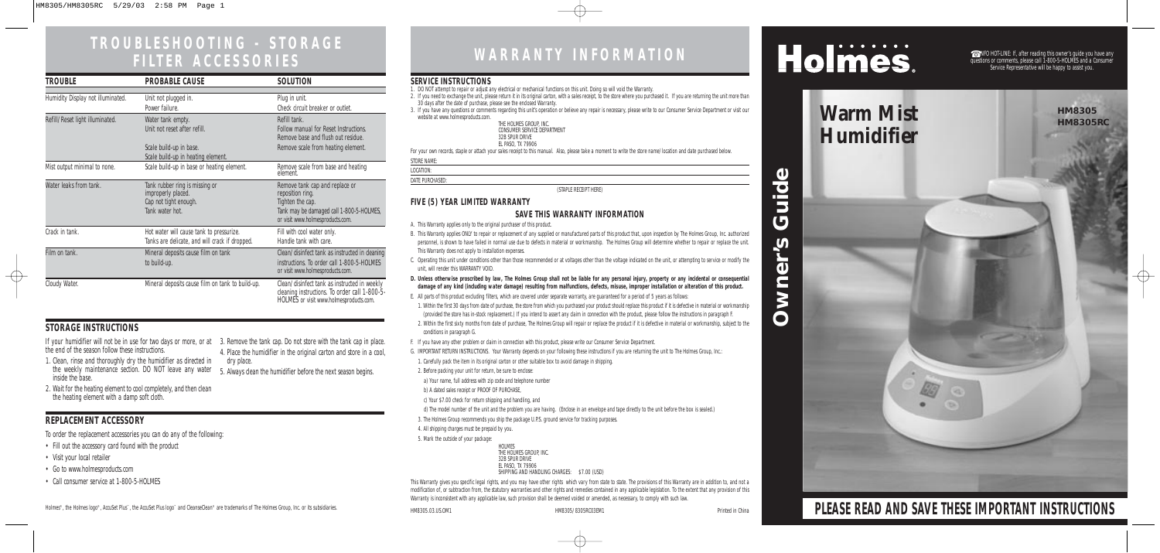# **TROUBLESHOOTING - STORAGE**

## **FILTER ACCESSORIES WARRANTY INFORMATION**

☎ INFO HOT-LINE: If, after reading this owner's guide you have any questions or comments, please call 1-800-5-HOLMES and a Consumer Service Representative will be happy to assist you.

**PLEASE READ AND SAVE THESE IMPORTANT INSTRUCTIONS**

#### **SERVICE INSTRUCTIONS**

- 1. DO NOT attempt to repair or adjust any electrical or mechanical functions on this unit. Doing so will void the Warranty.
- 2. If you need to exchange the unit, please return it in its original carton, with a sales receipt, to the store where you purchased it. If you are returning the unit more than 30 days after the date of purchase, please see the enclosed Warranty.
- 3. If you have any questions or comments regarding this unit's operation or believe any repair is necessary, please write to our Consumer Service Department or visit our website at www.holmesproducts.com.

| THE HOLMES GROUP. INC.      |  |
|-----------------------------|--|
| CONSUMER SERVICE DEPARTMENT |  |
| 32B SPUR DRIVE              |  |
| EL PASO, TX 79906           |  |

For your own records, staple or attach your sales receipt to this manual. Also, please take a moment to write the store name/location and date purchased below.

|--|

LOCATION:

DATE PURCHASED:

(STAPLE RECEIPT HERE)

#### **FIVE (5) YEAR LIMITED WARRANTY**

#### **SAVE THIS WARRANTY INFORMATION**

- A. This Warranty applies only to the original purchaser of this product.
- B. This Warranty applies ONLY to repair or replacement of any supplied or manufactured parts of this product that, upon inspection by The Holmes Group, Inc. authorized personnel, is shown to have failed in normal use due to defects in material or workmanship. The Holmes Group will determine whether to repair or replace the unit. This Warranty does not apply to installation expenses.
- C. Operating this unit under conditions other than those recommended or at voltages other than the voltage indicated on the unit, or attempting to service or modify the unit, will render this WARRANTY VOID.
- **D. Unless otherwise proscribed by law, The Holmes Group shall not be liable for any personal injury, property or any incidental or consequential damage of any kind (including water damage) resulting from malfunctions, defects, misuse, improper installation or alteration of this product.**
- E. All parts of this product excluding filters, which are covered under separate warranty, are guaranteed for a period of 5 years as follows:
- 1. Within the first 30 days from date of purchase, the store from which you purchased your product should replace this product if it is defective in material or workmanship (provided the store has in-stock replacement.) If you intend to assert any claim in connection with the product, please follow the instructions in paragraph F.
- 2. Within the first sixty months from date of purchase, The Holmes Group will repair or replace the product if it is defective in material or workmanship, subject to the conditions in paragraph G.
- F. If you have any other problem or claim in connection with this product, please write our Consumer Service Department.
- G. IMPORTANT RETURN INSTRUCTIONS. Your Warranty depends on your following these instructions if you are returning the unit to The Holmes Group, Inc.:
- 1. Carefully pack the item in its original carton or other suitable box to avoid damage in shipping.
- 2. Before packing your unit for return, be sure to enclose:
- a) Your name, full address with zip code and telephone number
- b) A dated sales receipt or PROOF OF PURCHASE,
- c) Your \$7.00 check for return shipping and handling, and
- d) The model number of the unit and the problem you are having. (Enclose in an envelope and tape directly to the unit before the box is sealed.)
- 3. The Holmes Group recommends you ship the package U.P.S. ground service for tracking purposes.
- 4. All shipping charges must be prepaid by you.
- 5. Mark the outside of your package:

# **Warm Mist Warm Mist Humidifier**

 $\oplus$ 

HOLMES THE HOLMES GROUP, INC. 32B SPUR DRIVE EL PASO, TX 79906 SHIPPING AND HANDLING CHARGES: \$7.00 (USD)

This Warranty gives you specific legal rights, and you may have other rights which vary from state to state. The provisions of this Warranty are in addition to, and not a modification of, or subtraction from, the statutory warranties and other rights and remedies contained in any applicable legislation. To the extent that any provision of this Warranty is inconsistent with any applicable law, such provision shall be deemed voided or amended, as necessary, to comply with such law.

Guide **Owner's Guide**  $\boldsymbol{\omega}$ Owner

# Holmes.

the end of the season follow these instructions.

- 1. Clean, rinse and thoroughly dry the humidifier as directed in the weekly maintenance section. DO NOT leave any water inside the base. 5. Always clean the humidifier before the next season begins.
- 2. Wait for the heating element to cool completely, and then clean the heating element with a damp soft cloth.

If your humidifier will not be in use for two days or more, or at 3. Remove the tank cap. Do not store with the tank cap in place. 4. Place the humidifier in the original carton and store in a cool, dry place.

To order the replacement accessories you can do any of the following:

- Fill out the accessory card found with the product
- Visit your local retailer
- Go to www.holmesproducts.com
- Call consumer service at 1-800-5-HOLMES

Holmes®, the Holmes logo®, AccuSet Plus™, the AccuSet Plus logo™ and CleanseClean® are trademarks of The Holmes Group, Inc. or its subsidiaries. However holmes of the Holmes of The Holmes Group, Inc. or its subsidiaries.

### **STORAGE INSTRUCTIONS**

 $\overline{\oplus}$ 

### **REPLACEMENT ACCESSORY**

| TROUBLE                           | <b>PROBABLE CAUSE</b>                                                                            | SOLUTION                                                                                                                                               |
|-----------------------------------|--------------------------------------------------------------------------------------------------|--------------------------------------------------------------------------------------------------------------------------------------------------------|
| Humidity Display not illuminated. | Unit not plugged in.<br>Power failure.                                                           | Plug in unit.<br>Check circuit breaker or outlet.                                                                                                      |
| Refill/Reset light illuminated.   | Water tank empty.<br>Unit not reset after refill.                                                | Refill tank.<br><b>Follow manual for Reset Instructions.</b><br>Remove base and flush out residue.                                                     |
|                                   | Scale build-up in base.<br>Scale build-up in heating element.                                    | Remove scale from heating element.                                                                                                                     |
| Mist output minimal to none.      | Scale build-up in base or heating element.                                                       | Remove scale from base and heating<br>element.                                                                                                         |
| Water leaks from tank.            | Tank rubber ring is missing or<br>improperly placed.<br>Cap not tight enough.<br>Tank water hot. | Remove tank cap and replace or<br>reposition ring.<br>Tighten the cap.<br>Tank may be damaged call 1-800-5-HOLMES,<br>or visit www.holmesproducts.com. |
| Crack in tank.                    | Hot water will cause tank to pressurize.<br>Tanks are delicate, and will crack if dropped.       | Fill with cool water only.<br>Handle tank with care.                                                                                                   |
| Film on tank.                     | Mineral deposits cause film on tank<br>to build-up.                                              | Clean/disinfect tank as instructed in cleaning<br>instructions. To order call 1-800-5-HOLMES<br>or visit www.holmesproducts.com.                       |
| Cloudy Water.                     | Mineral deposits cause film on tank to build-up.                                                 | Clean/disinfect tank as instructed in weekly<br>cleaning instructions. To order call 1-800-5-<br>HOLMES or visit www.holmesproducts.com.               |